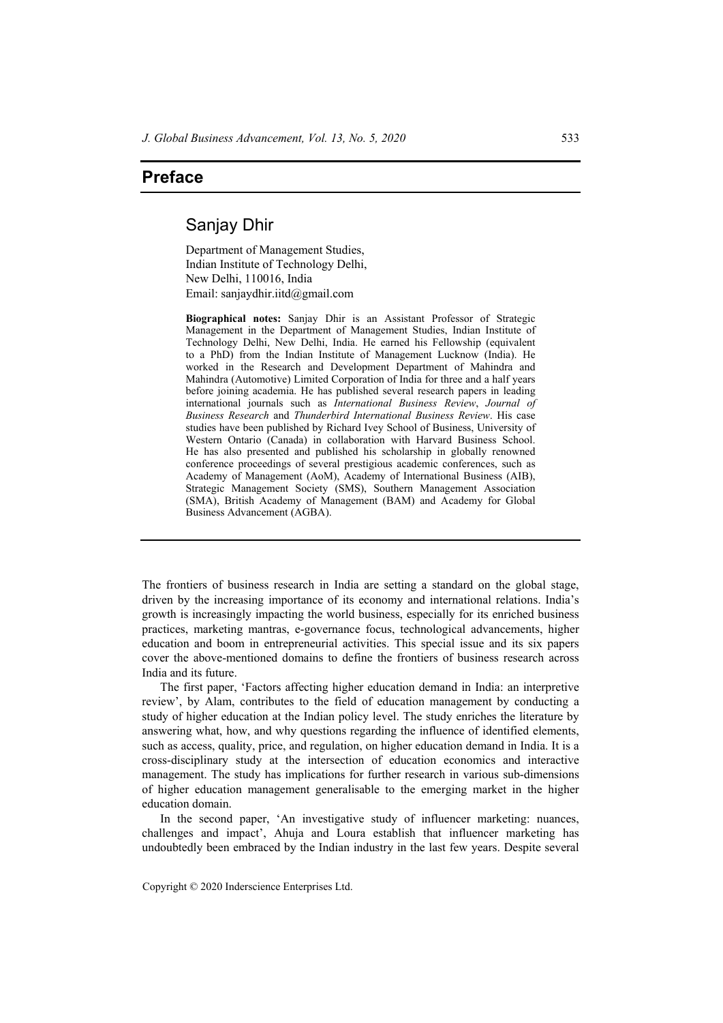## **Preface**

## Sanjay Dhir

Department of Management Studies, Indian Institute of Technology Delhi, New Delhi, 110016, India Email: sanjaydhir.iitd@gmail.com

**Biographical notes:** Sanjay Dhir is an Assistant Professor of Strategic Management in the Department of Management Studies, Indian Institute of Technology Delhi, New Delhi, India. He earned his Fellowship (equivalent to a PhD) from the Indian Institute of Management Lucknow (India). He worked in the Research and Development Department of Mahindra and Mahindra (Automotive) Limited Corporation of India for three and a half years before joining academia. He has published several research papers in leading international journals such as *International Business Review*, *Journal of Business Research* and *Thunderbird International Business Review*. His case studies have been published by Richard Ivey School of Business, University of Western Ontario (Canada) in collaboration with Harvard Business School. He has also presented and published his scholarship in globally renowned conference proceedings of several prestigious academic conferences, such as Academy of Management (AoM), Academy of International Business (AIB), Strategic Management Society (SMS), Southern Management Association (SMA), British Academy of Management (BAM) and Academy for Global Business Advancement (AGBA).

The frontiers of business research in India are setting a standard on the global stage, driven by the increasing importance of its economy and international relations. India's growth is increasingly impacting the world business, especially for its enriched business practices, marketing mantras, e-governance focus, technological advancements, higher education and boom in entrepreneurial activities. This special issue and its six papers cover the above-mentioned domains to define the frontiers of business research across India and its future.

The first paper, 'Factors affecting higher education demand in India: an interpretive review', by Alam, contributes to the field of education management by conducting a study of higher education at the Indian policy level. The study enriches the literature by answering what, how, and why questions regarding the influence of identified elements, such as access, quality, price, and regulation, on higher education demand in India. It is a cross-disciplinary study at the intersection of education economics and interactive management. The study has implications for further research in various sub-dimensions of higher education management generalisable to the emerging market in the higher education domain.

In the second paper, 'An investigative study of influencer marketing: nuances, challenges and impact', Ahuja and Loura establish that influencer marketing has undoubtedly been embraced by the Indian industry in the last few years. Despite several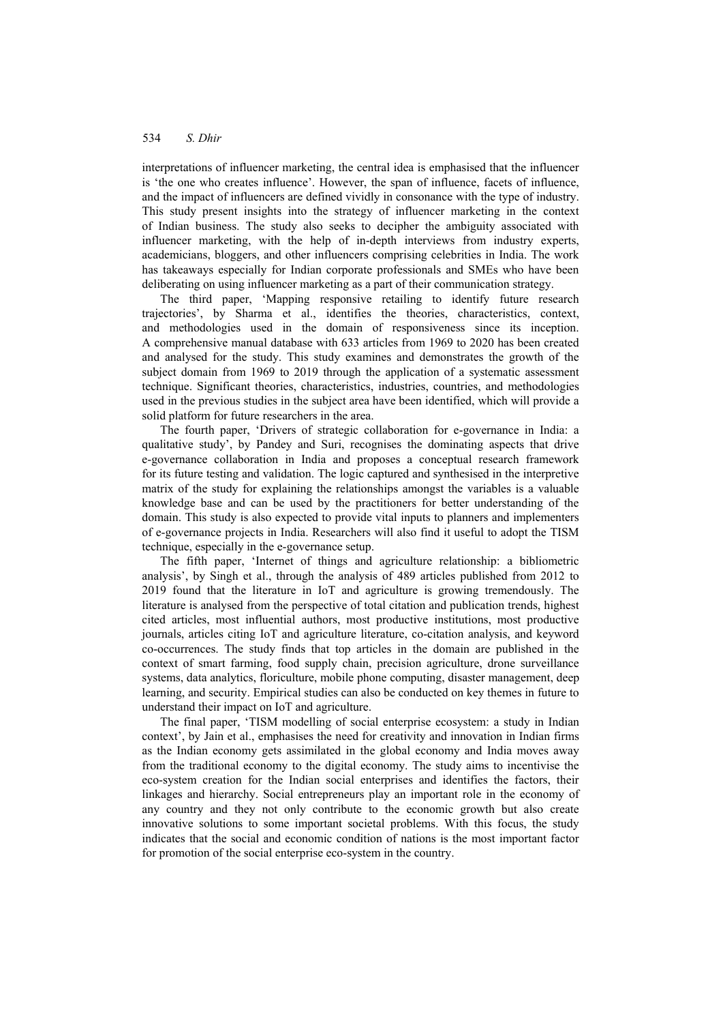interpretations of influencer marketing, the central idea is emphasised that the influencer is 'the one who creates influence'. However, the span of influence, facets of influence, and the impact of influencers are defined vividly in consonance with the type of industry. This study present insights into the strategy of influencer marketing in the context of Indian business. The study also seeks to decipher the ambiguity associated with influencer marketing, with the help of in-depth interviews from industry experts, academicians, bloggers, and other influencers comprising celebrities in India. The work has takeaways especially for Indian corporate professionals and SMEs who have been deliberating on using influencer marketing as a part of their communication strategy.

The third paper, 'Mapping responsive retailing to identify future research trajectories', by Sharma et al., identifies the theories, characteristics, context, and methodologies used in the domain of responsiveness since its inception. A comprehensive manual database with 633 articles from 1969 to 2020 has been created and analysed for the study. This study examines and demonstrates the growth of the subject domain from 1969 to 2019 through the application of a systematic assessment technique. Significant theories, characteristics, industries, countries, and methodologies used in the previous studies in the subject area have been identified, which will provide a solid platform for future researchers in the area.

The fourth paper, 'Drivers of strategic collaboration for e-governance in India: a qualitative study', by Pandey and Suri, recognises the dominating aspects that drive e-governance collaboration in India and proposes a conceptual research framework for its future testing and validation. The logic captured and synthesised in the interpretive matrix of the study for explaining the relationships amongst the variables is a valuable knowledge base and can be used by the practitioners for better understanding of the domain. This study is also expected to provide vital inputs to planners and implementers of e-governance projects in India. Researchers will also find it useful to adopt the TISM technique, especially in the e-governance setup.

The fifth paper, 'Internet of things and agriculture relationship: a bibliometric analysis', by Singh et al., through the analysis of 489 articles published from 2012 to 2019 found that the literature in IoT and agriculture is growing tremendously. The literature is analysed from the perspective of total citation and publication trends, highest cited articles, most influential authors, most productive institutions, most productive journals, articles citing IoT and agriculture literature, co-citation analysis, and keyword co-occurrences. The study finds that top articles in the domain are published in the context of smart farming, food supply chain, precision agriculture, drone surveillance systems, data analytics, floriculture, mobile phone computing, disaster management, deep learning, and security. Empirical studies can also be conducted on key themes in future to understand their impact on IoT and agriculture.

The final paper, 'TISM modelling of social enterprise ecosystem: a study in Indian context', by Jain et al., emphasises the need for creativity and innovation in Indian firms as the Indian economy gets assimilated in the global economy and India moves away from the traditional economy to the digital economy. The study aims to incentivise the eco-system creation for the Indian social enterprises and identifies the factors, their linkages and hierarchy. Social entrepreneurs play an important role in the economy of any country and they not only contribute to the economic growth but also create innovative solutions to some important societal problems. With this focus, the study indicates that the social and economic condition of nations is the most important factor for promotion of the social enterprise eco-system in the country.